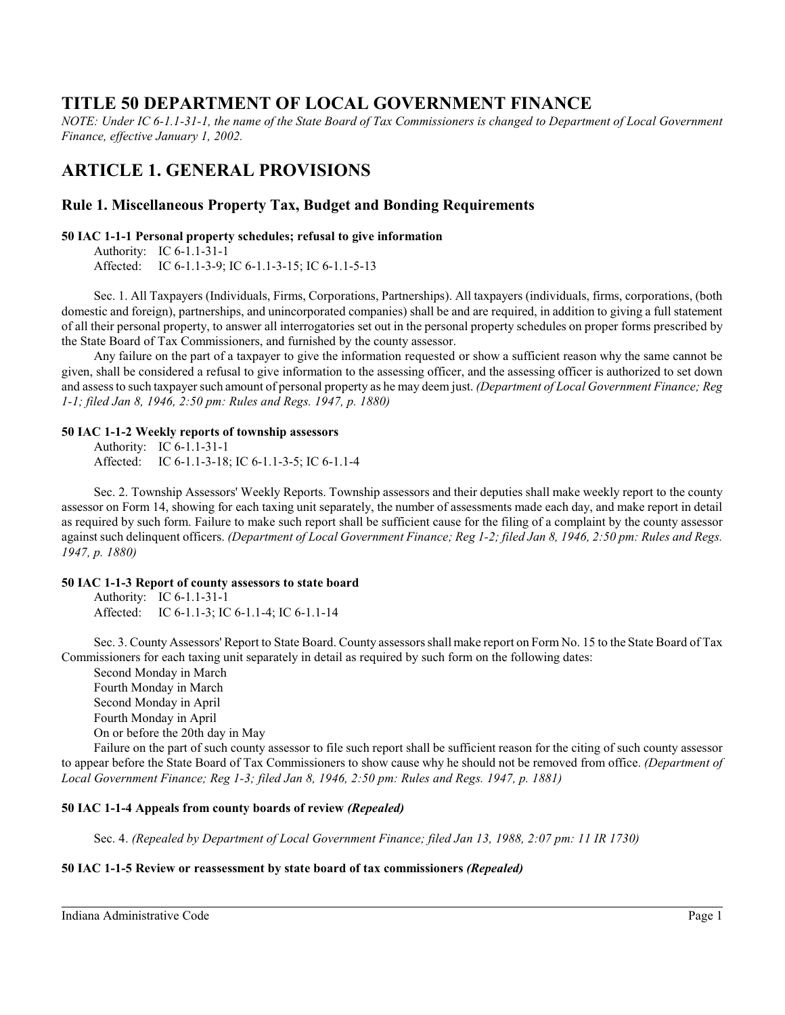# **TITLE 50 DEPARTMENT OF LOCAL GOVERNMENT FINANCE**

*NOTE: Under IC 6-1.1-31-1, the name of the State Board of Tax Commissioners is changed to Department of Local Government Finance, effective January 1, 2002.*

# **ARTICLE 1. GENERAL PROVISIONS**

# **Rule 1. Miscellaneous Property Tax, Budget and Bonding Requirements**

# **50 IAC 1-1-1 Personal property schedules; refusal to give information**

Authority: IC 6-1.1-31-1 Affected: IC 6-1.1-3-9; IC 6-1.1-3-15; IC 6-1.1-5-13

Sec. 1. All Taxpayers (Individuals, Firms, Corporations, Partnerships). All taxpayers (individuals, firms, corporations, (both domestic and foreign), partnerships, and unincorporated companies) shall be and are required, in addition to giving a full statement of all their personal property, to answer all interrogatories set out in the personal property schedules on proper forms prescribed by the State Board of Tax Commissioners, and furnished by the county assessor.

Any failure on the part of a taxpayer to give the information requested or show a sufficient reason why the same cannot be given, shall be considered a refusal to give information to the assessing officer, and the assessing officer is authorized to set down and assessto such taxpayer such amount of personal property as he may deem just. *(Department of Local Government Finance; Reg 1-1; filed Jan 8, 1946, 2:50 pm: Rules and Regs. 1947, p. 1880)*

### **50 IAC 1-1-2 Weekly reports of township assessors**

Authority: IC 6-1.1-31-1 Affected: IC 6-1.1-3-18; IC 6-1.1-3-5; IC 6-1.1-4

Sec. 2. Township Assessors' Weekly Reports. Township assessors and their deputies shall make weekly report to the county assessor on Form 14, showing for each taxing unit separately, the number of assessments made each day, and make report in detail as required by such form. Failure to make such report shall be sufficient cause for the filing of a complaint by the county assessor against such delinquent officers. *(Department of Local Government Finance; Reg 1-2; filed Jan 8, 1946, 2:50 pm: Rules and Regs. 1947, p. 1880)*

# **50 IAC 1-1-3 Report of county assessors to state board**

Authority: IC 6-1.1-31-1 Affected: IC 6-1.1-3; IC 6-1.1-4; IC 6-1.1-14

Sec. 3. County Assessors' Report to State Board. County assessors shall make report on Form No. 15 to the State Board of Tax Commissioners for each taxing unit separately in detail as required by such form on the following dates:

Second Monday in March Fourth Monday in March Second Monday in April Fourth Monday in April On or before the 20th day in May

Failure on the part of such county assessor to file such report shall be sufficient reason for the citing of such county assessor to appear before the State Board of Tax Commissioners to show cause why he should not be removed from office. *(Department of Local Government Finance; Reg 1-3; filed Jan 8, 1946, 2:50 pm: Rules and Regs. 1947, p. 1881)*

# **50 IAC 1-1-4 Appeals from county boards of review** *(Repealed)*

Sec. 4. *(Repealed by Department of Local Government Finance; filed Jan 13, 1988, 2:07 pm: 11 IR 1730)*

# **50 IAC 1-1-5 Review or reassessment by state board of tax commissioners** *(Repealed)*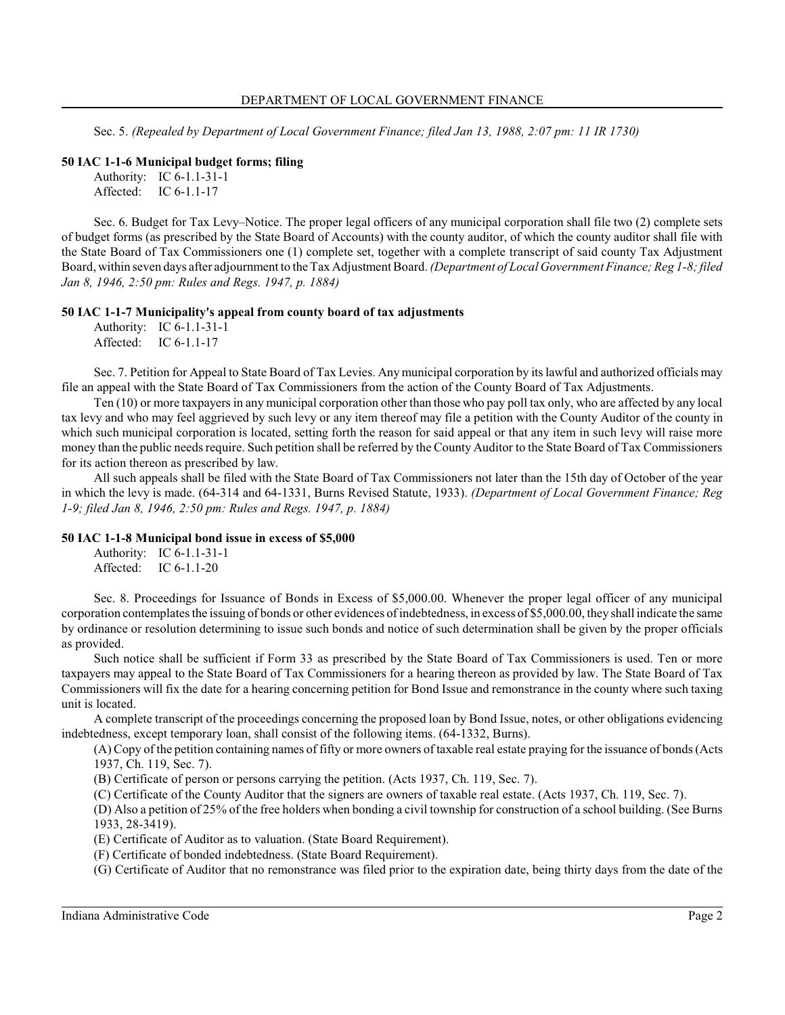Sec. 5. *(Repealed by Department of Local Government Finance; filed Jan 13, 1988, 2:07 pm: 11 IR 1730)*

### **50 IAC 1-1-6 Municipal budget forms; filing**

```
Authority: IC 6-1.1-31-1
Affected: IC 6-1.1-17
```
Sec. 6. Budget for Tax Levy–Notice. The proper legal officers of any municipal corporation shall file two (2) complete sets of budget forms (as prescribed by the State Board of Accounts) with the county auditor, of which the county auditor shall file with the State Board of Tax Commissioners one (1) complete set, together with a complete transcript of said county Tax Adjustment Board, within seven days after adjournment to the Tax Adjustment Board. *(Department of Local Government Finance; Reg 1-8; filed Jan 8, 1946, 2:50 pm: Rules and Regs. 1947, p. 1884)*

### **50 IAC 1-1-7 Municipality's appeal from county board of tax adjustments**

Authority: IC 6-1.1-31-1 Affected: IC 6-1.1-17

Sec. 7. Petition for Appeal to State Board of Tax Levies. Anymunicipal corporation by its lawful and authorized officials may file an appeal with the State Board of Tax Commissioners from the action of the County Board of Tax Adjustments.

Ten (10) or more taxpayers in any municipal corporation other than those who pay poll tax only, who are affected by any local tax levy and who may feel aggrieved by such levy or any item thereof may file a petition with the County Auditor of the county in which such municipal corporation is located, setting forth the reason for said appeal or that any item in such levy will raise more money than the public needs require. Such petition shall be referred by the County Auditor to the State Board of Tax Commissioners for its action thereon as prescribed by law.

All such appeals shall be filed with the State Board of Tax Commissioners not later than the 15th day of October of the year in which the levy is made. (64-314 and 64-1331, Burns Revised Statute, 1933). *(Department of Local Government Finance; Reg 1-9; filed Jan 8, 1946, 2:50 pm: Rules and Regs. 1947, p. 1884)*

### **50 IAC 1-1-8 Municipal bond issue in excess of \$5,000**

Authority: IC 6-1.1-31-1 Affected: IC 6-1.1-20

Sec. 8. Proceedings for Issuance of Bonds in Excess of \$5,000.00. Whenever the proper legal officer of any municipal corporation contemplates the issuing of bonds or other evidences of indebtedness, in excess of \$5,000.00, they shall indicate the same by ordinance or resolution determining to issue such bonds and notice of such determination shall be given by the proper officials as provided.

Such notice shall be sufficient if Form 33 as prescribed by the State Board of Tax Commissioners is used. Ten or more taxpayers may appeal to the State Board of Tax Commissioners for a hearing thereon as provided by law. The State Board of Tax Commissioners will fix the date for a hearing concerning petition for Bond Issue and remonstrance in the county where such taxing unit is located.

A complete transcript of the proceedings concerning the proposed loan by Bond Issue, notes, or other obligations evidencing indebtedness, except temporary loan, shall consist of the following items. (64-1332, Burns).

(A) Copy of the petition containing names of fifty or more owners of taxable real estate praying for the issuance of bonds (Acts 1937, Ch. 119, Sec. 7).

(B) Certificate of person or persons carrying the petition. (Acts 1937, Ch. 119, Sec. 7).

(C) Certificate of the County Auditor that the signers are owners of taxable real estate. (Acts 1937, Ch. 119, Sec. 7).

(D) Also a petition of 25% of the free holders when bonding a civil township for construction of a school building. (See Burns 1933, 28-3419).

(E) Certificate of Auditor as to valuation. (State Board Requirement).

(F) Certificate of bonded indebtedness. (State Board Requirement).

(G) Certificate of Auditor that no remonstrance was filed prior to the expiration date, being thirty days from the date of the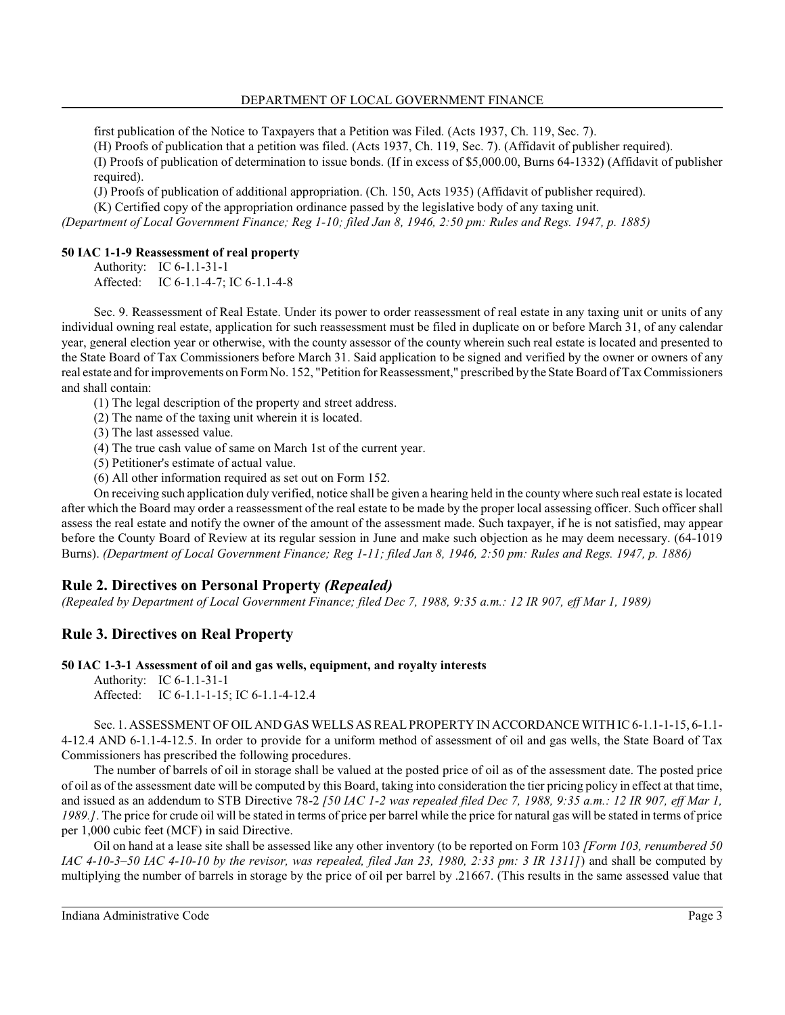first publication of the Notice to Taxpayers that a Petition was Filed. (Acts 1937, Ch. 119, Sec. 7).

(H) Proofs of publication that a petition was filed. (Acts 1937, Ch. 119, Sec. 7). (Affidavit of publisher required).

(I) Proofs of publication of determination to issue bonds. (If in excess of \$5,000.00, Burns 64-1332) (Affidavit of publisher required).

(J) Proofs of publication of additional appropriation. (Ch. 150, Acts 1935) (Affidavit of publisher required).

(K) Certified copy of the appropriation ordinance passed by the legislative body of any taxing unit.

*(Department of Local Government Finance; Reg 1-10; filed Jan 8, 1946, 2:50 pm: Rules and Regs. 1947, p. 1885)*

# **50 IAC 1-1-9 Reassessment of real property**

Authority: IC 6-1.1-31-1 Affected: IC 6-1.1-4-7; IC 6-1.1-4-8

Sec. 9. Reassessment of Real Estate. Under its power to order reassessment of real estate in any taxing unit or units of any individual owning real estate, application for such reassessment must be filed in duplicate on or before March 31, of any calendar year, general election year or otherwise, with the county assessor of the county wherein such real estate is located and presented to the State Board of Tax Commissioners before March 31. Said application to be signed and verified by the owner or owners of any real estate and for improvements on FormNo. 152, "Petition for Reassessment," prescribed by the State Board of Tax Commissioners and shall contain:

(1) The legal description of the property and street address.

- (2) The name of the taxing unit wherein it is located.
- (3) The last assessed value.
- (4) The true cash value of same on March 1st of the current year.
- (5) Petitioner's estimate of actual value.
- (6) All other information required as set out on Form 152.

On receiving such application duly verified, notice shall be given a hearing held in the county where such real estate is located after which the Board may order a reassessment of the real estate to be made by the proper local assessing officer. Such officer shall assess the real estate and notify the owner of the amount of the assessment made. Such taxpayer, if he is not satisfied, may appear before the County Board of Review at its regular session in June and make such objection as he may deem necessary. (64-1019 Burns). *(Department of Local Government Finance; Reg 1-11; filed Jan 8, 1946, 2:50 pm: Rules and Regs. 1947, p. 1886)*

# **Rule 2. Directives on Personal Property** *(Repealed)*

*(Repealed by Department of Local Government Finance; filed Dec 7, 1988, 9:35 a.m.: 12 IR 907, eff Mar 1, 1989)*

# **Rule 3. Directives on Real Property**

# **50 IAC 1-3-1 Assessment of oil and gas wells, equipment, and royalty interests**

Authority: IC 6-1.1-31-1 Affected: IC 6-1.1-1-15; IC 6-1.1-4-12.4

Sec. 1. ASSESSMENT OF OIL AND GAS WELLS AS REAL PROPERTY IN ACCORDANCE WITH IC 6-1.1-1-15, 6-1.1- 4-12.4 AND 6-1.1-4-12.5. In order to provide for a uniform method of assessment of oil and gas wells, the State Board of Tax Commissioners has prescribed the following procedures.

The number of barrels of oil in storage shall be valued at the posted price of oil as of the assessment date. The posted price of oil as of the assessment date will be computed by this Board, taking into consideration the tier pricing policy in effect at that time, and issued as an addendum to STB Directive 78-2 *[50 IAC 1-2 was repealed filed Dec 7, 1988, 9:35 a.m.: 12 IR 907, eff Mar 1, 1989.]*. The price for crude oil will be stated in terms of price per barrel while the price for natural gas will be stated in terms of price per 1,000 cubic feet (MCF) in said Directive.

Oil on hand at a lease site shall be assessed like any other inventory (to be reported on Form 103 *[Form 103, renumbered 50 IAC 4-10-3–50 IAC 4-10-10 by the revisor, was repealed, filed Jan 23, 1980, 2:33 pm: 3 IR 1311]*) and shall be computed by multiplying the number of barrels in storage by the price of oil per barrel by .21667. (This results in the same assessed value that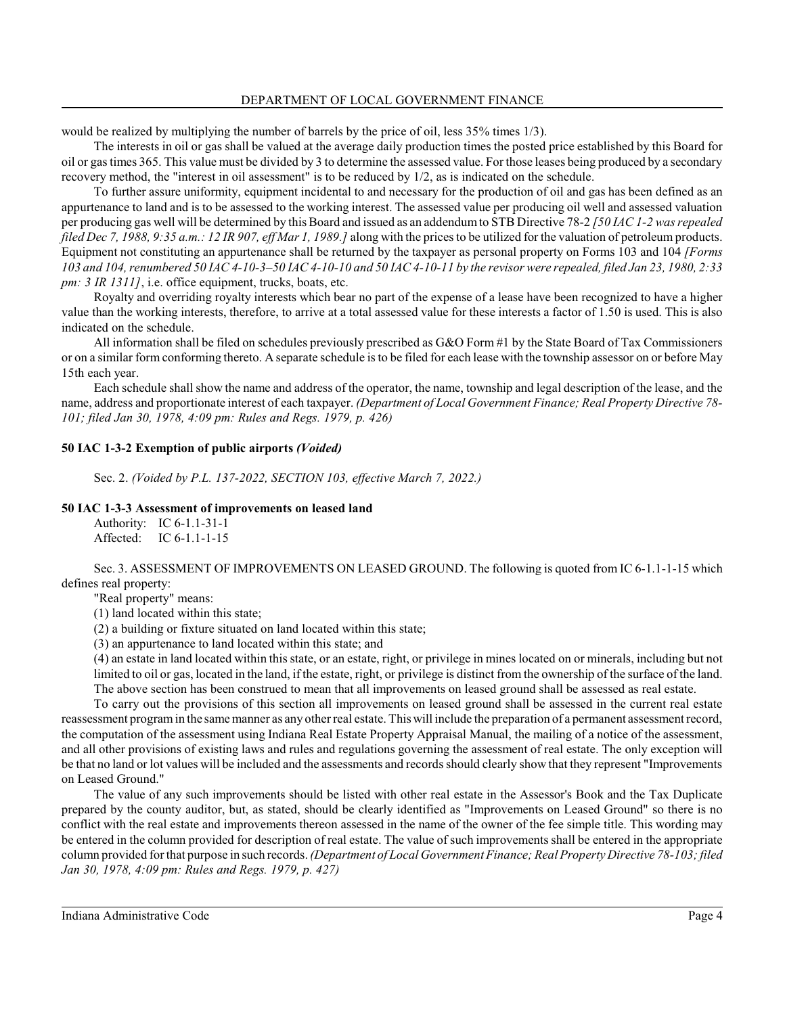would be realized by multiplying the number of barrels by the price of oil, less 35% times 1/3).

The interests in oil or gas shall be valued at the average daily production times the posted price established by this Board for oil or gas times 365. This value must be divided by 3 to determine the assessed value. For those leases being produced by a secondary recovery method, the "interest in oil assessment" is to be reduced by 1/2, as is indicated on the schedule.

To further assure uniformity, equipment incidental to and necessary for the production of oil and gas has been defined as an appurtenance to land and is to be assessed to the working interest. The assessed value per producing oil well and assessed valuation per producing gas well will be determined by thisBoard and issued as an addendumto STB Directive 78-2 *[50 IAC 1-2 was repealed filed Dec 7, 1988, 9:35 a.m.: 12 IR 907, eff Mar 1, 1989.]* along with the prices to be utilized for the valuation of petroleum products. Equipment not constituting an appurtenance shall be returned by the taxpayer as personal property on Forms 103 and 104 *[Forms 103 and 104, renumbered 50 IAC 4-10-3–50 IAC 4-10-10 and 50 IAC 4-10-11 by the revisor were repealed, filed Jan 23, 1980, 2:33 pm: 3 IR 1311]*, i.e. office equipment, trucks, boats, etc.

Royalty and overriding royalty interests which bear no part of the expense of a lease have been recognized to have a higher value than the working interests, therefore, to arrive at a total assessed value for these interests a factor of 1.50 is used. This is also indicated on the schedule.

All information shall be filed on schedules previously prescribed as G&O Form #1 by the State Board of Tax Commissioners or on a similar form conforming thereto. A separate schedule is to be filed for each lease with the township assessor on or before May 15th each year.

Each schedule shall show the name and address of the operator, the name, township and legal description of the lease, and the name, address and proportionate interest of each taxpayer. *(Department of Local Government Finance; Real Property Directive 78- 101; filed Jan 30, 1978, 4:09 pm: Rules and Regs. 1979, p. 426)*

### **50 IAC 1-3-2 Exemption of public airports** *(Voided)*

Sec. 2. *(Voided by P.L. 137-2022, SECTION 103, effective March 7, 2022.)*

### **50 IAC 1-3-3 Assessment of improvements on leased land**

Authority: IC 6-1.1-31-1 Affected: IC 6-1.1-1-15

Sec. 3. ASSESSMENT OF IMPROVEMENTS ON LEASED GROUND. The following is quoted from IC 6-1.1-1-15 which defines real property:

"Real property" means:

(1) land located within this state;

(2) a building or fixture situated on land located within this state;

(3) an appurtenance to land located within this state; and

(4) an estate in land located within thisstate, or an estate, right, or privilege in mines located on or minerals, including but not limited to oil or gas, located in the land, if the estate, right, or privilege is distinct from the ownership of the surface of the land. The above section has been construed to mean that all improvements on leased ground shall be assessed as real estate.

To carry out the provisions of this section all improvements on leased ground shall be assessed in the current real estate reassessment programin the same manner as any other real estate. Thiswill include the preparation of a permanent assessment record, the computation of the assessment using Indiana Real Estate Property Appraisal Manual, the mailing of a notice of the assessment, and all other provisions of existing laws and rules and regulations governing the assessment of real estate. The only exception will be that no land or lot values will be included and the assessments and records should clearly show that they represent "Improvements on Leased Ground."

The value of any such improvements should be listed with other real estate in the Assessor's Book and the Tax Duplicate prepared by the county auditor, but, as stated, should be clearly identified as "Improvements on Leased Ground" so there is no conflict with the real estate and improvements thereon assessed in the name of the owner of the fee simple title. This wording may be entered in the column provided for description of real estate. The value of such improvements shall be entered in the appropriate column provided for that purpose in such records. *(Department of Local Government Finance; Real Property Directive 78-103; filed Jan 30, 1978, 4:09 pm: Rules and Regs. 1979, p. 427)*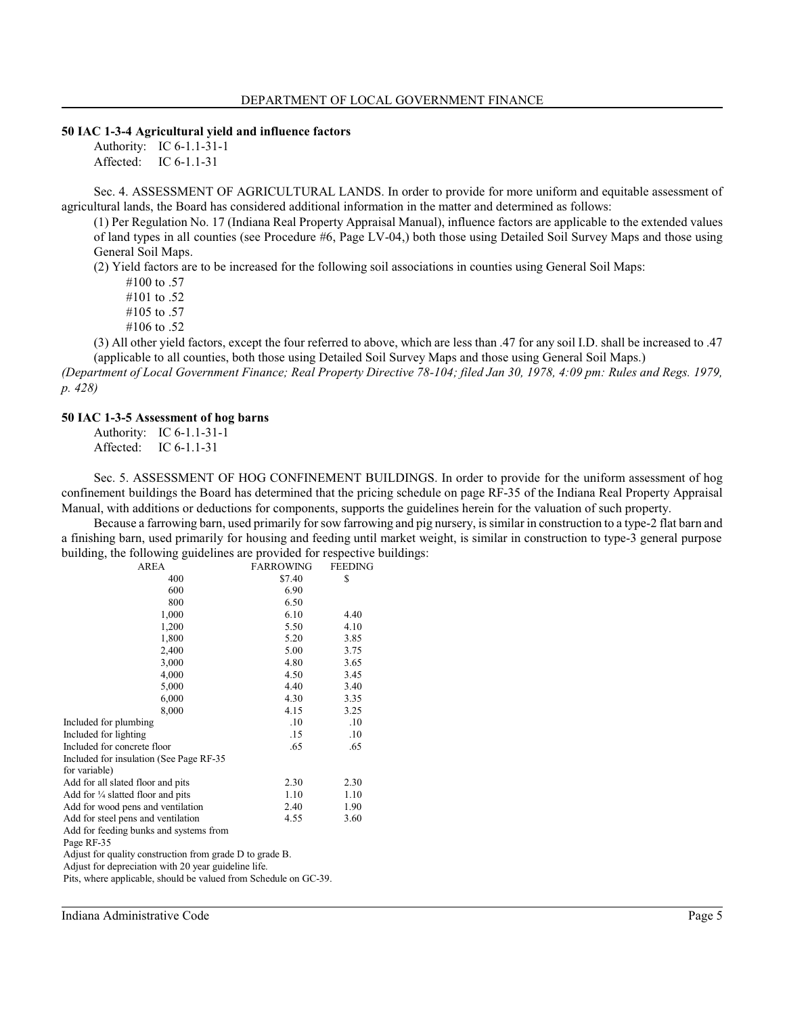#### **50 IAC 1-3-4 Agricultural yield and influence factors**

Authority: IC 6-1.1-31-1 Affected: IC 6-1.1-31

Sec. 4. ASSESSMENT OF AGRICULTURAL LANDS. In order to provide for more uniform and equitable assessment of agricultural lands, the Board has considered additional information in the matter and determined as follows:

(1) Per Regulation No. 17 (Indiana Real Property Appraisal Manual), influence factors are applicable to the extended values of land types in all counties (see Procedure #6, Page LV-04,) both those using Detailed Soil Survey Maps and those using General Soil Maps.

(2) Yield factors are to be increased for the following soil associations in counties using General Soil Maps:

#100 to .57

#101 to .52

#105 to .57

#106 to .52

(3) All other yield factors, except the four referred to above, which are less than .47 for any soil I.D. shall be increased to .47 (applicable to all counties, both those using Detailed Soil Survey Maps and those using General Soil Maps.)

*(Department of Local Government Finance; Real Property Directive 78-104; filed Jan 30, 1978, 4:09 pm: Rules and Regs. 1979, p. 428)*

#### **50 IAC 1-3-5 Assessment of hog barns**

Authority: IC 6-1.1-31-1 Affected: IC 6-1.1-31

Sec. 5. ASSESSMENT OF HOG CONFINEMENT BUILDINGS. In order to provide for the uniform assessment of hog confinement buildings the Board has determined that the pricing schedule on page RF-35 of the Indiana Real Property Appraisal Manual, with additions or deductions for components, supports the guidelines herein for the valuation of such property.

Because a farrowing barn, used primarily for sow farrowing and pig nursery, is similar in construction to a type-2 flat barn and a finishing barn, used primarily for housing and feeding until market weight, is similar in construction to type-3 general purpose building, the following guidelines are provided for respective buildings:

| AREA                                         | <b>FARROWING</b> | FEEDING |
|----------------------------------------------|------------------|---------|
| 400                                          | \$7.40           | \$      |
| 600                                          | 6.90             |         |
| 800                                          | 6.50             |         |
| 1,000                                        | 6.10             | 4.40    |
| 1,200                                        | 5.50             | 4.10    |
| 1,800                                        | 5.20             | 3.85    |
| 2,400                                        | 5.00             | 3.75    |
| 3,000                                        | 4.80             | 3.65    |
| 4,000                                        | 4.50             | 3.45    |
| 5,000                                        | 4.40             | 3.40    |
| 6,000                                        | 4.30             | 3.35    |
| 8,000                                        | 4.15             | 3.25    |
| Included for plumbing                        | .10              | .10     |
| Included for lighting                        | .15              | .10     |
| Included for concrete floor                  | .65              | .65     |
| Included for insulation (See Page RF-35      |                  |         |
| for variable)                                |                  |         |
| Add for all slated floor and pits            | 2.30             | 2.30    |
| Add for $\frac{1}{4}$ slatted floor and pits | 1.10             | 1.10    |
| Add for wood pens and ventilation            | 2.40             | 1.90    |
| Add for steel pens and ventilation           | 4.55             | 3.60    |
| Add for feeding bunks and systems from       |                  |         |
| Page RF-35                                   |                  |         |
|                                              |                  |         |

Adjust for quality construction from grade D to grade B.

Adjust for depreciation with 20 year guideline life.

Pits, where applicable, should be valued from Schedule on GC-39.

Indiana Administrative Code Page 5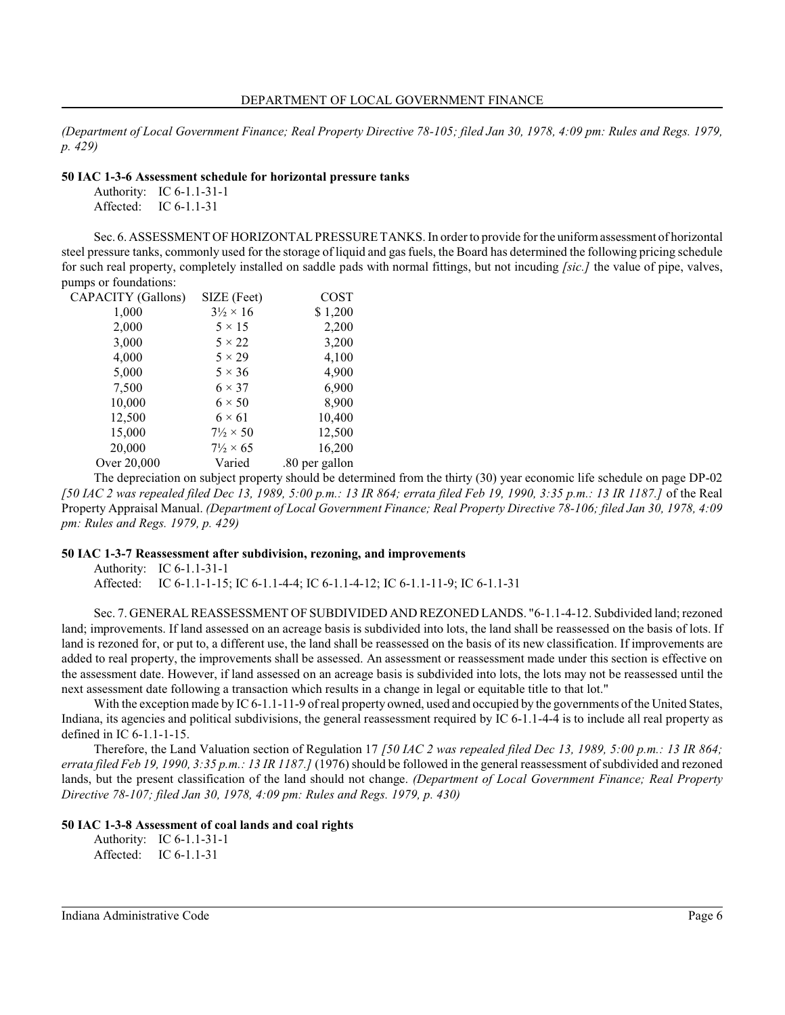*(Department of Local Government Finance; Real Property Directive 78-105; filed Jan 30, 1978, 4:09 pm: Rules and Regs. 1979, p. 429)*

### **50 IAC 1-3-6 Assessment schedule for horizontal pressure tanks**

Authority: IC 6-1.1-31-1 Affected: IC 6-1.1-31

Sec. 6. ASSESSMENT OF HORIZONTAL PRESSURE TANKS. In order to provide for the uniformassessment of horizontal steel pressure tanks, commonly used for the storage of liquid and gas fuels, the Board has determined the following pricing schedule for such real property, completely installed on saddle pads with normal fittings, but not incuding *[sic.]* the value of pipe, valves, pumps or foundations:

| CAPACITY (Gallons) | SIZE (Feet)              | COST           |
|--------------------|--------------------------|----------------|
| 1,000              | $3\frac{1}{2} \times 16$ | \$1,200        |
| 2,000              | $5 \times 15$            | 2,200          |
| 3,000              | $5 \times 22$            | 3,200          |
| 4,000              | $5 \times 29$            | 4,100          |
| 5,000              | $5 \times 36$            | 4,900          |
| 7,500              | $6 \times 37$            | 6,900          |
| 10,000             | $6 \times 50$            | 8,900          |
| 12,500             | $6 \times 61$            | 10,400         |
| 15,000             | $7\frac{1}{2} \times 50$ | 12,500         |
| 20,000             | $7\frac{1}{2} \times 65$ | 16,200         |
| Over 20,000        | Varied                   | .80 per gallon |
|                    |                          |                |

The depreciation on subject property should be determined from the thirty (30) year economic life schedule on page DP-02 *[50 IAC 2 was repealed filed Dec 13, 1989, 5:00 p.m.: 13 IR 864; errata filed Feb 19, 1990, 3:35 p.m.: 13 IR 1187.]* of the Real Property Appraisal Manual. *(Department of Local Government Finance; Real Property Directive 78-106; filed Jan 30, 1978, 4:09 pm: Rules and Regs. 1979, p. 429)*

# **50 IAC 1-3-7 Reassessment after subdivision, rezoning, and improvements**

Authority: IC 6-1.1-31-1 Affected: IC 6-1.1-1-15; IC 6-1.1-4-4; IC 6-1.1-4-12; IC 6-1.1-11-9; IC 6-1.1-31

Sec. 7. GENERALREASSESSMENT OF SUBDIVIDED AND REZONED LANDS. "6-1.1-4-12. Subdivided land; rezoned land; improvements. If land assessed on an acreage basis is subdivided into lots, the land shall be reassessed on the basis of lots. If land is rezoned for, or put to, a different use, the land shall be reassessed on the basis of its new classification. If improvements are added to real property, the improvements shall be assessed. An assessment or reassessment made under this section is effective on the assessment date. However, if land assessed on an acreage basis is subdivided into lots, the lots may not be reassessed until the next assessment date following a transaction which results in a change in legal or equitable title to that lot."

With the exception made by IC 6-1.1-11-9 of real property owned, used and occupied by the governments of the United States, Indiana, its agencies and political subdivisions, the general reassessment required by IC 6-1.1-4-4 is to include all real property as defined in IC 6-1.1-1-15.

Therefore, the Land Valuation section of Regulation 17 *[50 IAC 2 was repealed filed Dec 13, 1989, 5:00 p.m.: 13 IR 864; errata filed Feb 19, 1990, 3:35 p.m.: 13 IR 1187.]* (1976) should be followed in the general reassessment of subdivided and rezoned lands, but the present classification of the land should not change. *(Department of Local Government Finance; Real Property Directive 78-107; filed Jan 30, 1978, 4:09 pm: Rules and Regs. 1979, p. 430)*

# **50 IAC 1-3-8 Assessment of coal lands and coal rights**

Authority: IC 6-1.1-31-1 Affected: IC 6-1.1-31